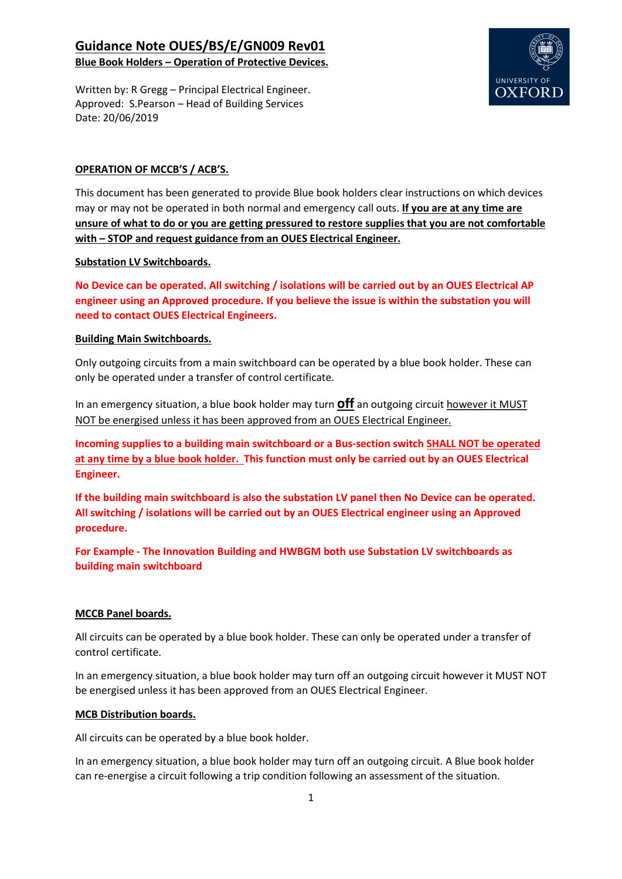## Guidance Note OUES/BS/E/GN009 Rev01 Blue Book Holders – Operation of Protective Devices.

UNIVERSITY OF **OXFORI** 

Written by: R Gregg – Principal Electrical Engineer. Approved: S.Pearson – Head of Building Services Date: 20/06/2019

### OPERATION OF MCCB'S / ACB'S.

This document has been generated to provide Blue book holders clear instructions on which devices may or may not be operated in both normal and emergency call outs. If you are at any time are unsure of what to do or you are getting pressured to restore supplies that you are not comfortable with – STOP and request guidance from an OUES Electrical Engineer.

#### Substation LV Switchboards.

No Device can be operated. All switching / isolations will be carried out by an OUES Electrical AP engineer using an Approved procedure. If you believe the issue is within the substation you will need to contact OUES Electrical Engineers.

#### Building Main Switchboards.

Only outgoing circuits from a main switchboard can be operated by a blue book holder. These can only be operated under a transfer of control certificate.

In an emergency situation, a blue book holder may turn **off** an outgoing circuit however it MUST NOT be energised unless it has been approved from an OUES Electrical Engineer.

Incoming supplies to a building main switchboard or a Bus-section switch SHALL NOT be operated at any time by a blue book holder. This function must only be carried out by an OUES Electrical Engineer.

If the building main switchboard is also the substation LV panel then No Device can be operated. All switching / isolations will be carried out by an OUES Electrical engineer using an Approved procedure.

For Example - The Innovation Building and HWBGM both use Substation LV switchboards as building main switchboard

#### MCCB Panel boards.

All circuits can be operated by a blue book holder. These can only be operated under a transfer of control certificate.

In an emergency situation, a blue book holder may turn off an outgoing circuit however it MUST NOT be energised unless it has been approved from an OUES Electrical Engineer.

#### MCB Distribution boards.

All circuits can be operated by a blue book holder.

In an emergency situation, a blue book holder may turn off an outgoing circuit. A Blue book holder can re-energise a circuit following a trip condition following an assessment of the situation.